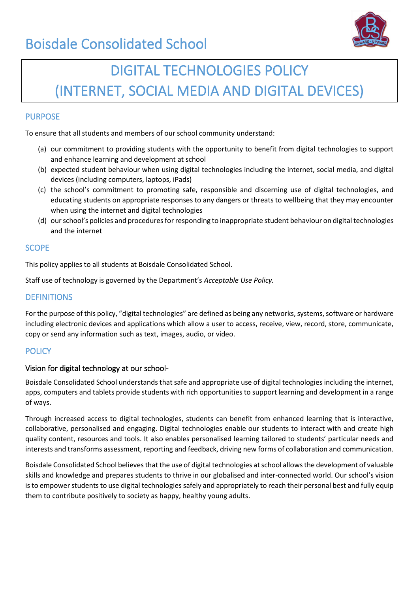

# DIGITAL TECHNOLOGIES POLICY (INTERNET, SOCIAL MEDIA AND DIGITAL DEVICES)

#### PURPOSE

To ensure that all students and members of our school community understand:

- (a) our commitment to providing students with the opportunity to benefit from digital technologies to support and enhance learning and development at school
- (b) expected student behaviour when using digital technologies including the internet, social media, and digital devices (including computers, laptops, iPads)
- (c) the school's commitment to promoting safe, responsible and discerning use of digital technologies, and educating students on appropriate responses to any dangers or threats to wellbeing that they may encounter when using the internet and digital technologies
- (d) our school's policies and procedures for responding to inappropriate student behaviour on digital technologies and the internet

#### **SCOPE**

This policy applies to all students at Boisdale Consolidated School.

Staff use of technology is governed by the Department's *Acceptable Use Policy.*

#### **DEFINITIONS**

For the purpose of this policy, "digital technologies" are defined as being any networks, systems, software or hardware including electronic devices and applications which allow a user to access, receive, view, record, store, communicate, copy or send any information such as text, images, audio, or video.

#### **POLICY**

#### Vision for digital technology at our school-

Boisdale Consolidated School understands that safe and appropriate use of digital technologies including the internet, apps, computers and tablets provide students with rich opportunities to support learning and development in a range of ways.

Through increased access to digital technologies, students can benefit from enhanced learning that is interactive, collaborative, personalised and engaging. Digital technologies enable our students to interact with and create high quality content, resources and tools. It also enables personalised learning tailored to students' particular needs and interests and transforms assessment, reporting and feedback, driving new forms of collaboration and communication.

Boisdale Consolidated School believes that the use of digital technologies at school allows the development of valuable skills and knowledge and prepares students to thrive in our globalised and inter-connected world. Our school's vision is to empower students to use digital technologies safely and appropriately to reach their personal best and fully equip them to contribute positively to society as happy, healthy young adults.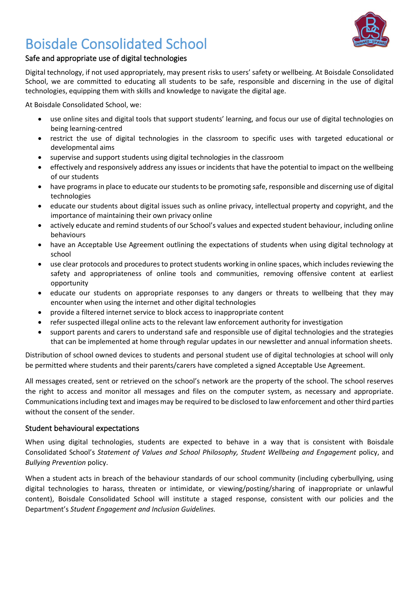

#### Safe and appropriate use of digital technologies

Digital technology, if not used appropriately, may present risks to users' safety or wellbeing. At Boisdale Consolidated School, we are committed to educating all students to be safe, responsible and discerning in the use of digital technologies, equipping them with skills and knowledge to navigate the digital age.

At Boisdale Consolidated School, we:

- use online sites and digital tools that support students' learning, and focus our use of digital technologies on being learning-centred
- restrict the use of digital technologies in the classroom to specific uses with targeted educational or developmental aims
- supervise and support students using digital technologies in the classroom
- effectively and responsively address any issues or incidents that have the potential to impact on the wellbeing of our students
- have programs in place to educate our students to be promoting safe, responsible and discerning use of digital technologies
- educate our students about digital issues such as online privacy, intellectual property and copyright, and the importance of maintaining their own privacy online
- actively educate and remind students of our School's values and expected student behaviour, including online behaviours
- have an Acceptable Use Agreement outlining the expectations of students when using digital technology at school
- use clear protocols and procedures to protect students working in online spaces, which includes reviewing the safety and appropriateness of online tools and communities, removing offensive content at earliest opportunity
- educate our students on appropriate responses to any dangers or threats to wellbeing that they may encounter when using the internet and other digital technologies
- provide a filtered internet service to block access to inappropriate content
- refer suspected illegal online acts to the relevant law enforcement authority for investigation
- support parents and carers to understand safe and responsible use of digital technologies and the strategies that can be implemented at home through regular updates in our newsletter and annual information sheets.

Distribution of school owned devices to students and personal student use of digital technologies at school will only be permitted where students and their parents/carers have completed a signed Acceptable Use Agreement.

All messages created, sent or retrieved on the school's network are the property of the school. The school reserves the right to access and monitor all messages and files on the computer system, as necessary and appropriate. Communications including text and images may be required to be disclosed to law enforcement and other third parties without the consent of the sender.

#### Student behavioural expectations

When using digital technologies, students are expected to behave in a way that is consistent with Boisdale Consolidated School's *Statement of Values and School Philosophy, Student Wellbeing and Engagement* policy, and *Bullying Prevention* policy.

When a student acts in breach of the behaviour standards of our school community (including cyberbullying, using digital technologies to harass, threaten or intimidate, or viewing/posting/sharing of inappropriate or unlawful content), Boisdale Consolidated School will institute a staged response, consistent with our policies and the Department's *Student Engagement and Inclusion Guidelines.*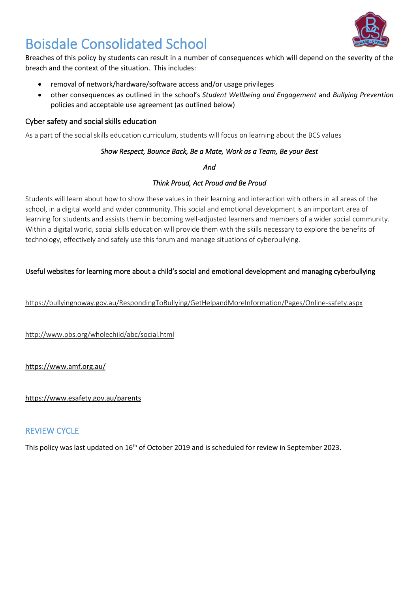

Breaches of this policy by students can result in a number of consequences which will depend on the severity of the breach and the context of the situation. This includes:

- removal of network/hardware/software access and/or usage privileges
- other consequences as outlined in the school's *Student Wellbeing and Engagement* and *Bullying Prevention* policies and acceptable use agreement (as outlined below)

#### Cyber safety and social skills education

As a part of the social skills education curriculum, students will focus on learning about the BCS values

#### *Show Respect, Bounce Back, Be a Mate, Work as a Team, Be your Best*

*And* 

#### *Think Proud, Act Proud and Be Proud*

Students will learn about how to show these values in their learning and interaction with others in all areas of the school, in a digital world and wider community. This social and emotional development is an important area of learning for students and assists them in becoming well-adjusted learners and members of a wider social community. Within a digital world, social skills education will provide them with the skills necessary to explore the benefits of technology, effectively and safely use this forum and manage situations of cyberbullying.

#### Useful websites for learning more about a child's social and emotional development and managing cyberbullying

<https://bullyingnoway.gov.au/RespondingToBullying/GetHelpandMoreInformation/Pages/Online-safety.aspx>

<http://www.pbs.org/wholechild/abc/social.html>

<https://www.amf.org.au/>

<https://www.esafety.gov.au/parents>

### REVIEW CYCLE

This policy was last updated on 16<sup>th</sup> of October 2019 and is scheduled for review in September 2023.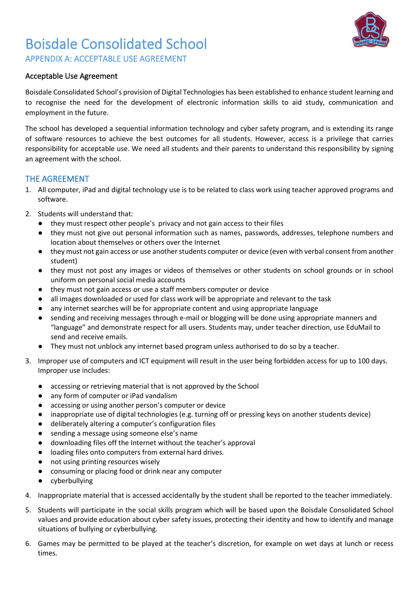

APPENDIX A: ACCEPTABLE USE AGREEMENT

#### Acceptable Use Agreement

Boisdale Consolidated School's provision of Digital Technologies has been established to enhance student learning and to recognise the need for the development of electronic information skills to aid study, communication and employment in the future.

The school has developed a sequential information technology and cyber safety program, and is extending its range of software resources to achieve the best outcomes for all students. However, access is a privilege that carries responsibility for acceptable use. We need all students and their parents to understand this responsibility by signing an agreement with the school.

#### THE AGREEMENT

- 1. All computer, iPad and digital technology use is to be related to class work using teacher approved programs and software.
- 2. Students will understand that:
	- they must respect other people's privacy and not gain access to their files
	- they must not give out personal information such as names, passwords, addresses, telephone numbers and location about themselves or others over the Internet
	- they must not gain access or use another students computer or device (even with verbal consent from another student)
	- they must not post any images or videos of themselves or other students on school grounds or in school uniform on personal social media accounts
	- they must not gain access or use a staff members computer or device
	- all images downloaded or used for class work will be appropriate and relevant to the task
	- any internet searches will be for appropriate content and using appropriate language
	- sending and receiving messages through e-mail or blogging will be done using appropriate manners and "language" and demonstrate respect for all users. Students may, under teacher direction, use EduMail to send and receive emails.
	- They must not unblock any internet based program unless authorised to do so by a teacher.
- 3. Improper use of computers and ICT equipment will result in the user being forbidden access for up to 100 days. Improper use includes:
	- accessing or retrieving material that is not approved by the School
	- any form of computer or iPad vandalism
	- accessing or using another person's computer or device
	- inappropriate use of digital technologies (e.g. turning off or pressing keys on another students device)
	- deliberately altering a computer's configuration files
	- sending a message using someone else's name
	- downloading files off the Internet without the teacher's approval
	- loading files onto computers from external hard drives.
	- not using printing resources wisely
	- consuming or placing food or drink near any computer
	- cyberbullying
- 4. Inappropriate material that is accessed accidentally by the student shall be reported to the teacher immediately.
- 5. Students will participate in the social skills program which will be based upon the Boisdale Consolidated School values and provide education about cyber safety issues, protecting their identity and how to identify and manage situations of bullying or cyberbullying.
- 6. Games may be permitted to be played at the teacher's discretion, for example on wet days at lunch or recess times.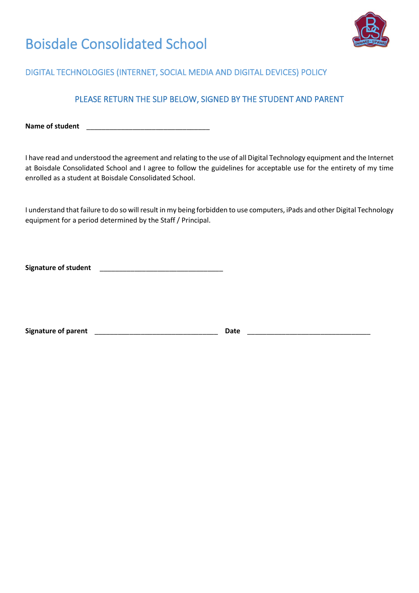

### DIGITAL TECHNOLOGIES (INTERNET, SOCIAL MEDIA AND DIGITAL DEVICES) POLICY

### PLEASE RETURN THE SLIP BELOW, SIGNED BY THE STUDENT AND PARENT

Name of student

I have read and understood the agreement and relating to the use of all Digital Technology equipment and the Internet at Boisdale Consolidated School and I agree to follow the guidelines for acceptable use for the entirety of my time enrolled as a student at Boisdale Consolidated School.

I understand that failure to do so will result in my being forbidden to use computers, iPads and other Digital Technology equipment for a period determined by the Staff / Principal.

Signature of student **Signature of student** 

**Signature of parent** \_\_\_\_\_\_\_\_\_\_\_\_\_\_\_\_\_\_\_\_\_\_\_\_\_\_\_\_\_\_\_\_ **Date** \_\_\_\_\_\_\_\_\_\_\_\_\_\_\_\_\_\_\_\_\_\_\_\_\_\_\_\_\_\_\_\_